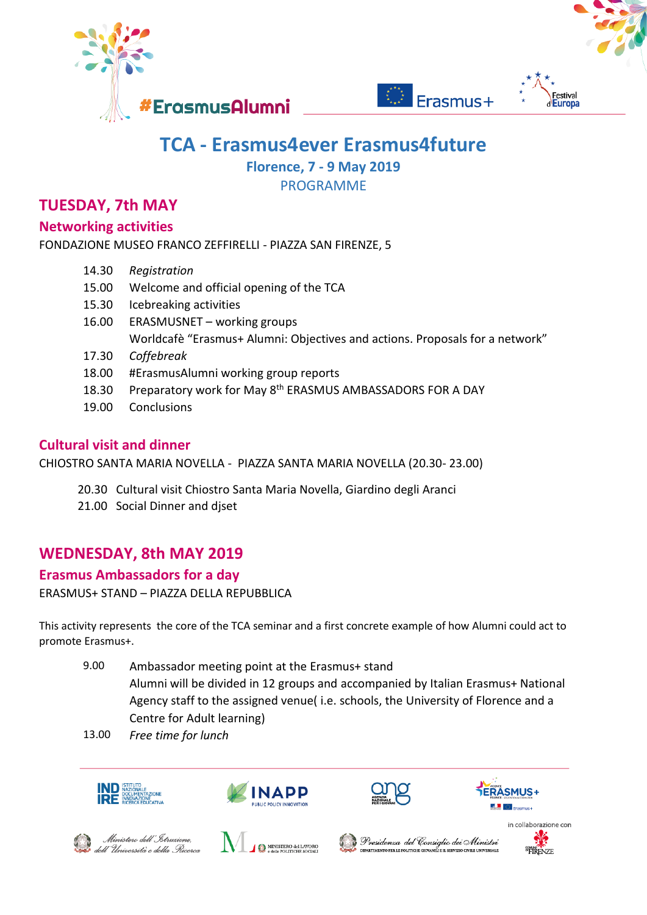



# **TCA - Erasmus4ever Erasmus4future**

**Florence, 7 - 9 May 2019**

PROGRAMME

# **TUESDAY, 7th MAY**

### **Networking activities**

FONDAZIONE MUSEO FRANCO ZEFFIRELLI - PIAZZA SAN FIRENZE, 5

- 14.30 *Registration*
- 15.00 Welcome and official opening of the TCA
- 15.30 Icebreaking activities
- 16.00 ERASMUSNET working groups Worldcafè "Erasmus+ Alumni: Objectives and actions. Proposals for a network"
- 17.30 *Coffebreak*
- 18.00 #ErasmusAlumni working group reports
- 18.30 Preparatory work for May 8<sup>th</sup> ERASMUS AMBASSADORS FOR A DAY
- 19.00 Conclusions

## **Cultural visit and dinner**

CHIOSTRO SANTA MARIA NOVELLA - PIAZZA SANTA MARIA NOVELLA (20.30- 23.00)

- 20.30 Cultural visit Chiostro Santa Maria Novella, Giardino degli Aranci
- 21.00 Social Dinner and diset

# **WEDNESDAY, 8th MAY 2019**

### **Erasmus Ambassadors for a day**

ERASMUS+ STAND – PIAZZA DELLA REPUBBLICA

This activity represents the core of the TCA seminar and a first concrete example of how Alumni could act to promote Erasmus+.

- 9.00 Ambassador meeting point at the Erasmus+ stand Alumni will be divided in 12 groups and accompanied by Italian Erasmus+ National Agency staff to the assigned venue( i.e. schools, the University of Florence and a Centre for Adult learning)
- 13.00 *Free time for lunch*











Ministero dell'Istruzione, dell'Università e della Ricerca